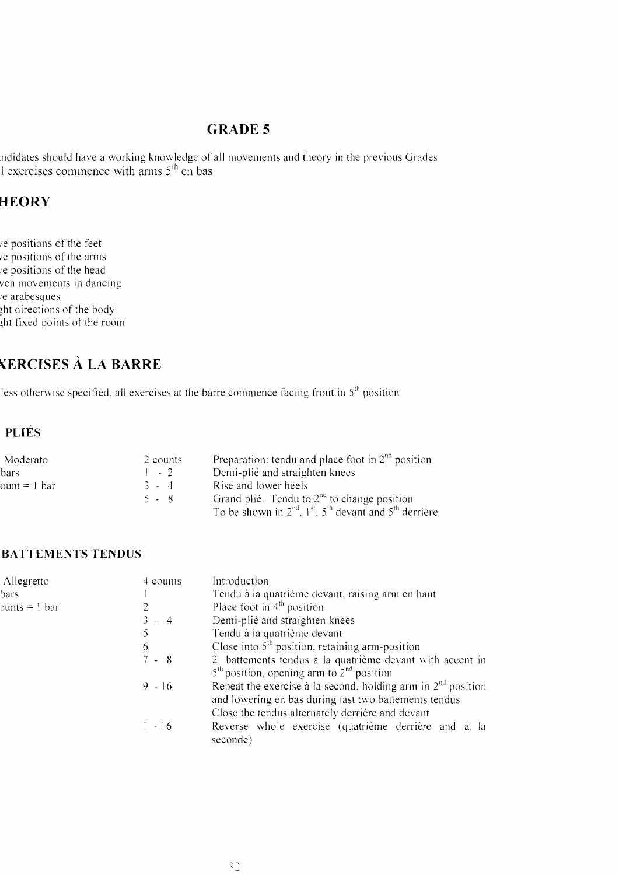#### **GRADE 5**

ndidates should have a working knowledge of all movements and theory in the previous Grades <br>I exercises commence with arms 5<sup>th</sup> en bas

## **HEORY**

e positions of the feet e positions of the arms e positions of the head ven movements in dancing e arabesques ght directions of the body the fixed points of the room

## **YERCISES A LA BARRE**

less otherwise specified, all exercises at the barre commence facing front in  $5<sup>th</sup>$  position

#### **PLIÉS**

| Moderato                       | 2 counts | Preparation: tendu and place foot in $2nd$ position                        |
|--------------------------------|----------|----------------------------------------------------------------------------|
| bars.                          | $1 - 2$  | Demi-plié and straighten knees                                             |
| $\text{count} = 1 \text{ bar}$ | $3 - 4$  | Rise and lower heels                                                       |
|                                | 5 - 8    | Grand plié. Tendu to $2nd$ to change position                              |
|                                |          | To be shown in $2^{nd}$ , $1^{st}$ , $5^{th}$ devant and $5^{th}$ derrière |

#### **BATTEMENTS TENDUS**

| Allegretto                         | 4 counts      | Introduction                                                                                                                                                                |
|------------------------------------|---------------|-----------------------------------------------------------------------------------------------------------------------------------------------------------------------------|
| bars.                              |               | Tendu à la quatrième devant, raising arm en haut                                                                                                                            |
| $50 \text{ units} = 1 \text{ bar}$ |               | Place foot in $4th$ position                                                                                                                                                |
|                                    | $3 - 4$       | Demi-plié and straighten knees                                                                                                                                              |
|                                    | $\mathcal{S}$ | Tendu à la quatrième devant                                                                                                                                                 |
|                                    | 6             | Close into $5th$ position, retaining arm-position                                                                                                                           |
|                                    | $7 - 8$       | 2 battements tendus à la quatrième devant with accent in<br>$5th$ position, opening arm to $2nd$ position                                                                   |
|                                    | $9 - 16$      | Repeat the exercise à la second, holding arm in $2nd$ position<br>and lowering en bas during last two battements tendus<br>Close the tendus alternately derrière and devant |
|                                    | $1 - 16$      | Reverse whole exercise (quatrième derrière and à la<br>seconde)                                                                                                             |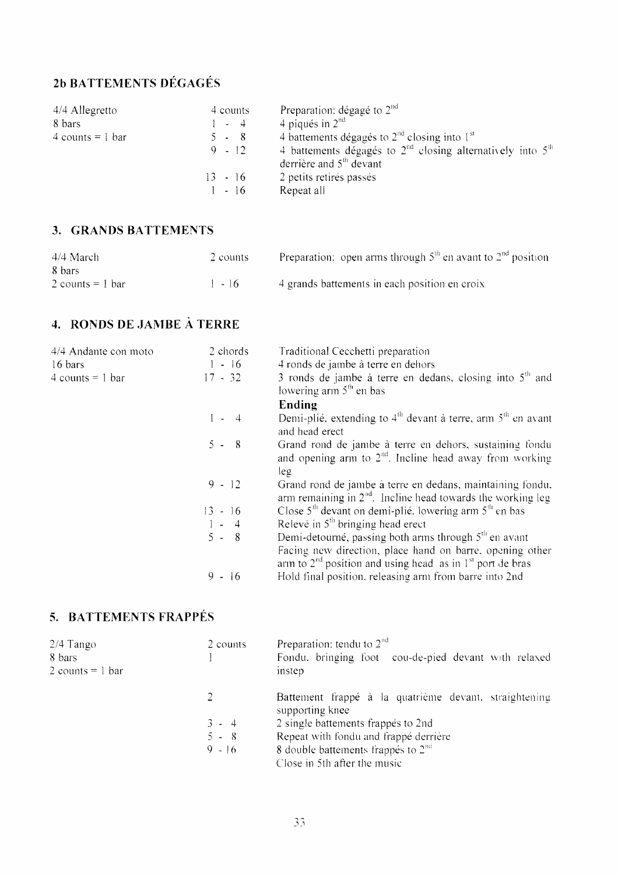## 2b BATTEMENTS DÉGAGÉS

| 4/4 Allegretto<br>8 bars | 4 counts<br>$-4$ | Preparation: dégagé to $2nd$<br>4 piqués in $2nd$                                           |
|--------------------------|------------------|---------------------------------------------------------------------------------------------|
|                          |                  |                                                                                             |
| $4$ counts = 1 bar       | - 8<br>$5 -$     | 4 battements dégagés to $2^{nd}$ closing into $1^{st}$                                      |
|                          | $9 - 12$         | 4 battements dégagés to $2nd$ closing alternatively into $5th$<br>derrière and $5th$ devant |
|                          | $13 - 16$        | 2 petits retirés passés                                                                     |
|                          | $1 - 16$         | Repeat all                                                                                  |

#### 3. GRANDS BATTEMENTS

| 4/4 March          | 2 counts | <b>Preparation:</b> open arms through $5th$ en avant to $2nd$ position |
|--------------------|----------|------------------------------------------------------------------------|
| 8 bars             |          |                                                                        |
| 2 counts $= 1$ bar | $1 - 16$ | 4 grands battements in each position en croix                          |

## 4. RONDS DE JAMBE À TERRE

| 4/4 Andante con moto | 2 chords  | Traditional Cecchetti preparation                                                                                           |
|----------------------|-----------|-----------------------------------------------------------------------------------------------------------------------------|
| 16 bars              | $1 - 16$  | 4 ronds de jambe à terre en dehors                                                                                          |
| 4 counts = $1$ bar   | $17 - 32$ | 3 ronds de jambe à terre en dedans, closing into $5th$ and                                                                  |
|                      |           | lowering arm $5th$ en bas                                                                                                   |
|                      |           | Ending                                                                                                                      |
|                      | $1 - 4$   | Demi-plié, extending to $4th$ devant à terre, arm $5th$ en avant<br>and head erect                                          |
|                      | $5 - 8$   | Grand rond de jambe à terre en dehors, sustaining fondu<br>and opening arm to $2nd$ . Incline head away from working<br>leg |
|                      | $9 - 12$  | Grand rond de jambe à terre en dedans, maintaining fondu,<br>arm remaining in $2nd$ . Incline head towards the working leg  |
|                      | $13 - 16$ | Close $5th$ devant on demi-plié, lowering arm $5th$ en bas                                                                  |
|                      | $1 - 4$   | Relevé in $5th$ bringing head erect                                                                                         |
|                      | $5 - 8$   | Demi-detourné, passing both arms through $5th$ en avant                                                                     |
|                      |           | Facing new direction, place hand on barre, opening other<br>arm to $2nd$ position and using head as in $1st$ port de bras   |
|                      | $9 - 16$  | Hold final position, releasing arm from barre into 2nd                                                                      |

## 5. BATTEMENTS FRAPPÉS

| $2/4$ Tango<br>8 bars<br>2 counts $= 1$ bar | 2 counts | Preparation: tendu to $2nd$<br>Fondu, bringing foot cou-de-pied devant with relaxed<br>instep |
|---------------------------------------------|----------|-----------------------------------------------------------------------------------------------|
|                                             |          | Battement frappé à la quatrième devant, straightening<br>supporting knee                      |
|                                             | $3 - 4$  | 2 single battements frappés to 2nd                                                            |
|                                             | $5 - 8$  | Repeat with fondu and frappé derrière                                                         |
|                                             | $9 - 16$ | 8 double battements frappés to $2na$                                                          |
|                                             |          | Close in 5th after the music                                                                  |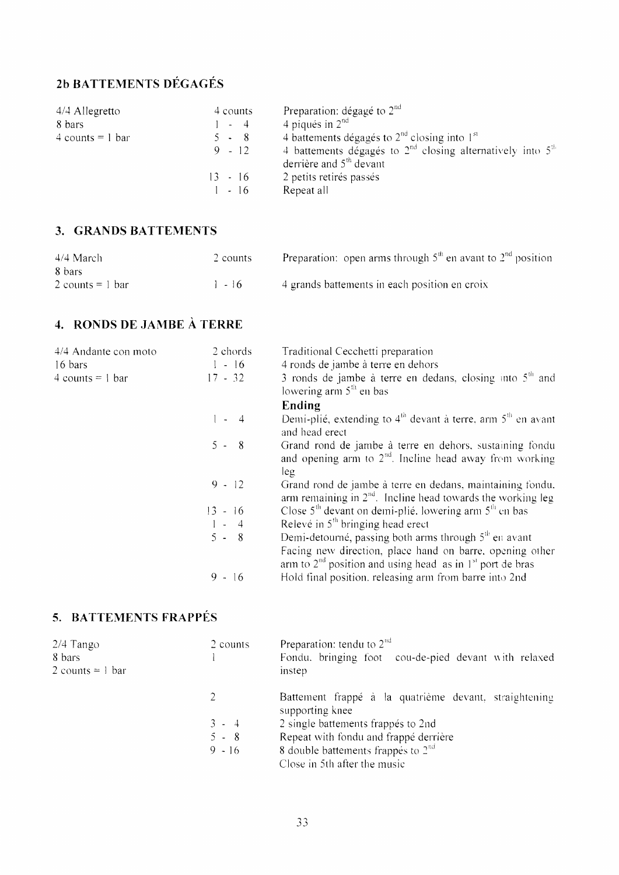## **2b BATTEMENTS DÉGAGÉS**

| 4/4 Allegretto     | 4 counts  | Preparation: dégagé to $2nd$                                                                      |
|--------------------|-----------|---------------------------------------------------------------------------------------------------|
| 8 bars             | $-4$      | 4 piqués in $2nd$                                                                                 |
| $4$ counts = 1 bar | 5 - 8     | 4 battements dégagés to $2nd$ closing into $1st$                                                  |
|                    | $9 - 12$  | 4 battements dégagés to $2^{nd}$ closing alternatively into $5^{th}$<br>derrière and $5th$ devant |
|                    | $13 - 16$ | 2 petits retirés passés                                                                           |
|                    | $1 - 16$  | Repeat all                                                                                        |

#### **3. GRANDS BATTEMENTS**

| 4/4 March                    | 2 counts | Preparation: open arms through $5th$ en avant to $2nd$ position |
|------------------------------|----------|-----------------------------------------------------------------|
| 8 bars                       |          |                                                                 |
| 2 counts = $\frac{1}{2}$ bar | $-16$    | 4 grands battements in each position en croix                   |

#### **4. ROIVDS DE JAMBE A** ' **TERRE**

| 4/4 Andante con moto | 2 chords    | Traditional Cecchetti preparation                                                                                           |
|----------------------|-------------|-----------------------------------------------------------------------------------------------------------------------------|
| 16 bars              | $1 - 16$    | 4 ronds de jambe à terre en dehors                                                                                          |
| $4$ counts = 1 bar   | $17 - 32$   | 3 ronds de jambe à terre en dedans, closing into $5th$ and<br>lowering arm $5th$ en bas                                     |
|                      |             | Ending                                                                                                                      |
|                      | $1 - 4$     | Demi-plié, extending to $4th$ devant à terre, arm $5th$ en avant<br>and head erect                                          |
|                      | $5 - 8$     | Grand rond de jambe à terre en dehors, sustaining fondu<br>and opening arm to $2nd$ . Incline head away from working<br>leg |
|                      | $9 - 12$    | Grand rond de jambe à terre en dedans, maintaining fondu.<br>arm remaining in $2nd$ . Incline head towards the working leg  |
|                      | $13 - 16$   | Close $5th$ devant on demi-plié. lowering arm $5th$ en bas                                                                  |
|                      | $1 - 4$     | Relevé in $5th$ bringing head erect                                                                                         |
|                      | $5 - 8$     | Demi-detourné, passing both arms through $5th$ en avant                                                                     |
|                      |             | Facing new direction, place hand on barre, opening other<br>arm to $2nd$ position and using head as in $1st$ port de bras   |
|                      | $9 -$<br>16 | Hold final position, releasing arm from barre into 2nd                                                                      |

## **5. BATTEMENTS FRAPPES**

| $2/4$ Tango<br>8 bars<br>$2$ counts = 1 bar | 2 counts | Preparation: tendu to $2nd$<br>Fondu, bringing foot cou-de-pied devant with relaxed<br>instep |
|---------------------------------------------|----------|-----------------------------------------------------------------------------------------------|
|                                             |          | Battement frappé à la quatrième devant, straightening<br>supporting knee                      |
|                                             | $3 - 4$  | 2 single battements frappés to 2nd                                                            |
|                                             | $5 - 8$  | Repeat with fondu and frappé derrière                                                         |
|                                             | $9 - 16$ | 8 double battements frappés to $2nd$<br>Close in 5th after the music                          |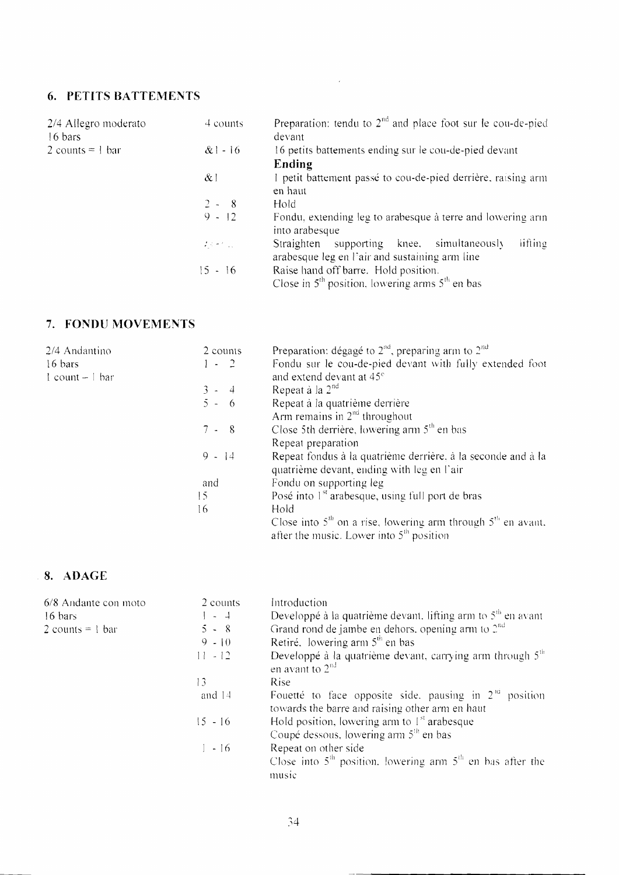#### **6. PETITS BATTEMENTS**

| 2/4 Allegro moderato<br>16 bars | 4 counts                                                            | Preparation: tendu to $2^{nd}$ and place foot sur le cou-de-pied<br>devant                                 |
|---------------------------------|---------------------------------------------------------------------|------------------------------------------------------------------------------------------------------------|
| 2 counts = $\frac{1}{2}$ bar    | $&1 - 16$                                                           | 16 petits battements ending sur le cou-de-pied devant                                                      |
|                                 |                                                                     | Ending                                                                                                     |
|                                 | $\alpha$ !                                                          | I petit battement passé to cou-de-pied derrière, raising arm<br>en haut                                    |
|                                 | $2 - 8$                                                             | Hold                                                                                                       |
|                                 | $9 - 12$                                                            | Fondu, extending leg to arabesque à terre and lowering arm<br>into arabesque                               |
|                                 | $\mathcal{L} \times \mathcal{L} = \mathcal{L} \times \mathcal{L}$ . | lifting<br>supporting knee, simultaneously<br>Straighten<br>arabesque leg en l'air and sustaining arm line |
|                                 | 15 - 16                                                             | Raise hand off barre. Hold position.<br>Close in $5th$ position, lowering arms $5th$ en bas                |

 $\mathcal{L}(\mathcal{L})$  .

#### 7. FONDU MOVEMENTS

| 2/4 Andantino      | 2 counts | Preparation: dégagé to $2^{nd}$ , preparing arm to $2^{nd}$      |
|--------------------|----------|------------------------------------------------------------------|
| 16 bars            | $1 - 2$  | Fondu sur le cou-de-pied devant with fully extended foot         |
| $1$ count $-1$ bar |          | and extend devant at 45 <sup>e</sup>                             |
|                    | $3 - 4$  | Repeat à la $2nd$                                                |
|                    | $5 - 6$  | Repeat à la quatrième derrière                                   |
|                    |          | Arm remains in $2nd$ throughout                                  |
|                    | $7 - 8$  | Close 5th derrière, lowering arm $5th$ en bas                    |
|                    |          | Repeat preparation                                               |
|                    | $9 - 14$ | Repeat fondus à la quatrième derrière, à la seconde and à la     |
|                    |          | quatrième devant, ending with leg en l'air                       |
|                    | and      | Fondu on supporting leg                                          |
|                    | 15       | Posé into $1st$ arabesque, using full port de bras               |
|                    | 16       | Hold                                                             |
|                    |          | Close into $5th$ on a rise, lowering arm through $5th$ en avant. |
|                    |          | after the music. Lower into $5th$ position                       |

## $.8.$  ADAGE

| 6/8 Andante con moto         | 2 counts  | Introduction                                                                                                      |
|------------------------------|-----------|-------------------------------------------------------------------------------------------------------------------|
| 16 bars                      | $1 - 4$   | Developpé à la quatrième devant. lifting arm to $5th$ en avant                                                    |
| 2 counts = $\frac{1}{2}$ bar | $5 - 8$   | Grand rond de jambe en dehors, opening arm to $2^{nd}$                                                            |
|                              | $9 - 10$  | Retiré. lowering arm $5th$ en bas                                                                                 |
|                              | $11 - 12$ | Developpé à la quatrième devant, carrying arm through 5 <sup>th</sup><br>en avant to $2nd$                        |
|                              | 13        | <b>Rise</b>                                                                                                       |
|                              | and 14    | Fouetté to face opposite side, pausing in $2^{1a}$<br>position<br>towards the barre and raising other arm en haut |
|                              | 15 - 16   | Hold position, lowering arm to $1^{st}$ arabesque<br>Coupé dessous, lowering arm 5 <sup>th</sup> en bas           |
|                              | $1 - 16$  | Repeat on other side<br>Close into $5th$ position, lowering arm $5th$ en bas after the<br>music                   |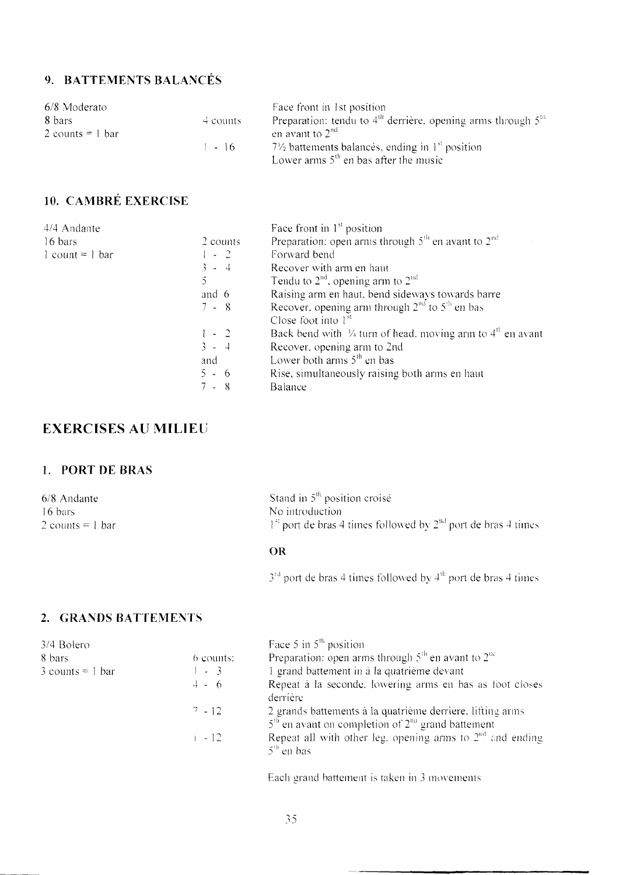## 9. BATTEMENTS BALANCÉS

| 6/8 Moderato       |            | Face front in 1st position                                       |
|--------------------|------------|------------------------------------------------------------------|
| 8 bars             | $4$ counts | Preparation: tendu to $4th$ derrière, opening arms through $5th$ |
| 2 counts $= 1$ bar |            | en avant to $2^{na}$                                             |
|                    | $1 - 16$   | $7\frac{1}{2}$ battements balancés, ending in $1st$ position     |
|                    |            | Lower arms $5th$ en bas after the music                          |

## 10. CAMBRÉ EXERCISE

| 4/4 Andante         |          | Face front in $1st$ position                                                      |
|---------------------|----------|-----------------------------------------------------------------------------------|
| 16 bars             | 2 counts | Preparation: open arms through $5th$ en avant to $2nd$                            |
| $1$ count = $1$ bar | $1 - 2$  | Forward bend                                                                      |
|                     | $3 - 4$  | Recover with arm en haut                                                          |
|                     |          | Tendu to $2nd$ , opening arm to $2nd$                                             |
|                     | and 6    | Raising arm en haut, bend sideways towards barre                                  |
|                     | 7 - 8    | Recover, opening arm through $2nd$ to $5th$ en bas                                |
|                     |          | Close foot into $1st$                                                             |
|                     | $1 - 2$  | Back bend with $\frac{1}{4}$ turn of head, moving arm to $4^{\text{th}}$ en avant |
|                     | $3 - 4$  | Recover, opening arm to 2nd                                                       |
|                     | and      | Lower both arms $5th$ en bas                                                      |
|                     | $5 - 6$  | Rise, simultaneously raising both arms en haut                                    |
|                     | 7 - 8    | Balance                                                                           |

### **EXERCISES AU MILIEU**

#### 1. PORT DE BRAS

| 6/8 Andante        |  |
|--------------------|--|
| 16 bars            |  |
| 2 counts $= 1$ bar |  |

Stand in 5<sup>th</sup> position croisé No introduction  $1^{\text{st}}$  port de bras 4 times followed by  $2^{\text{nd}}$  port de bras 4 times

#### OR

 $3<sup>rd</sup>$  port de bras 4 times followed by  $4<sup>th</sup>$  port de bras 4 times

#### 2. GRANDS BATTEMENTS

| 3/4 Bolero         |             | Face 5 in $5th$ position                                                                                           |
|--------------------|-------------|--------------------------------------------------------------------------------------------------------------------|
| 8 bars             | $6$ counts: | Preparation: open arms through $5th$ en avant to $2nc$                                                             |
| $3$ counts = 1 bar | $\sim$ 3    | 1 grand battement in à la quatrième devant                                                                         |
|                    | $4 - 6$     | Repeat à la seconde, lowering arms en bas as foot closes<br>derrière                                               |
|                    | $7 - 12$    | 2 grands battements à la quatrième derrière, lifting arms<br>$5th$ en avant on completion of $2nt$ grand battement |
|                    | $1 - 12$    | Repeat all with other leg, opening arms to $2nd$ and ending<br>$5th$ en bas                                        |
|                    |             |                                                                                                                    |

Each grand battement is taken in 3 movements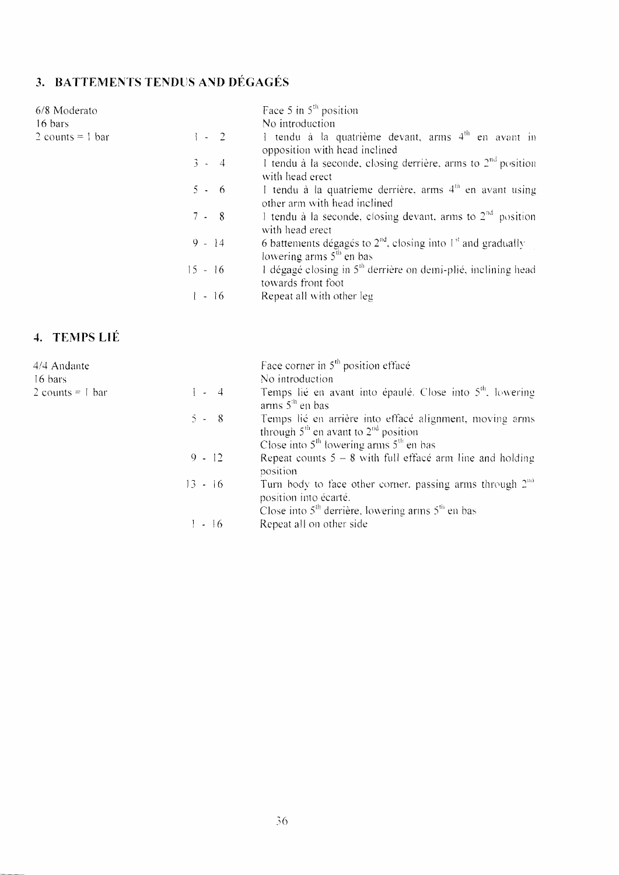# 3. BATTEMENTS TENDUS AND DÉGAGÉS

| 6/8 Moderato       |           | Face 5 in $5th$ position                                                                             |
|--------------------|-----------|------------------------------------------------------------------------------------------------------|
| 16 bars            |           | No introduction                                                                                      |
| 2 counts = $1$ bar | $1 - 2$   | 1 tendu à la quatrième devant, arms $4th$ en avant in<br>opposition with head inclined               |
|                    | $3 - 4$   | 1 tendu à la seconde, closing derrière, arms to $2nd$ position<br>with head erect                    |
|                    | $5 - 6$   | 1 tendu à la quatrieme derrière, arms $4th$ en avant using<br>other arm with head inclined           |
|                    | $7 - 8$   | 1 tendu à la seconde, closing devant, arms to $2nd$ position<br>with head erect                      |
|                    | $9 - 14$  | 6 battements dégagés to $2^{nd}$ , closing into $1^{st}$ and gradually<br>lowering arms $5th$ en bas |
|                    | $15 - 16$ | 1 dégagé closing in $5th$ derrière on demi-plié, inclining head<br>towards front foot                |
|                    | $1 - 16$  | Repeat all with other leg                                                                            |

## 4. TEMPS LIÉ

| 4/4 Andante<br>16 bars       |           | Face corner in $5th$ position efface<br>No introduction                                                                                            |
|------------------------------|-----------|----------------------------------------------------------------------------------------------------------------------------------------------------|
| 2 counts = $\frac{1}{2}$ bar | $1 - 4$   | Temps lié en avant into épaulé. Close into 5 <sup>th</sup> , lowering<br>arms $5th$ en bas                                                         |
|                              | $5 - 8$   | Temps lié en arrière into effacé alignment, moving arms<br>through $5th$ en avant to $2nd$ position<br>Close into $5th$ lowering arms $5th$ en bas |
|                              | $9 - 12$  | Repeat counts $5 - 8$ with full efface arm line and holding<br>position                                                                            |
|                              | $13 - 16$ | Turn body to face other corner, passing arms through $2^{nd}$<br>position into écarté.<br>Close into $5th$ derrière, lowering arms $5th$ en bas    |
|                              | $-16$     | Repeat all on other side                                                                                                                           |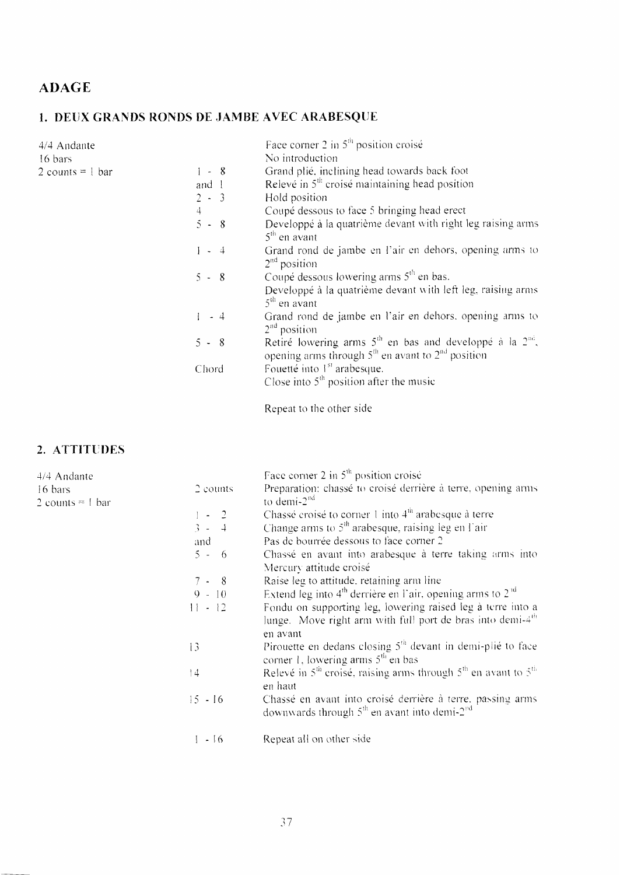## **ADAGE**

## 1. DEUX GRANDS RONDS DE JAMBE AVEC ARABESQUE

| 4/4 Andante                  |         | Face corner 2 in $5th$ position croisé                                                                                |
|------------------------------|---------|-----------------------------------------------------------------------------------------------------------------------|
| 16 bars                      |         | No introduction                                                                                                       |
| 2 counts = $\frac{1}{2}$ bar | $1 - 8$ | Grand plié, inclining head towards back foot                                                                          |
|                              | and 1   | Relevé in $5th$ croisé maintaining head position                                                                      |
|                              | $2 - 3$ | Hold position                                                                                                         |
|                              | 4       | Coupé dessous to face 5 bringing head erect                                                                           |
|                              | $5 - 8$ | Developpé à la quatrième devant with right leg raising arms<br>$5th$ en avant                                         |
|                              | $1 - 4$ | Grand rond de jambe en l'air en dehors, opening arms to<br>$2nd$ position                                             |
|                              | $5 - 8$ | Coupé dessous lowering arms 5 <sup>th</sup> en bas.                                                                   |
|                              |         | Developpé à la quatrième devant with left leg, raising arms<br>$5th$ en avant                                         |
|                              | $1 - 4$ | Grand rond de jambe en l'air en dehors, opening arms to<br>$2nd$ position                                             |
|                              | $5 - 8$ | Retiré lowering arms $5th$ en bas and developpé à la $2nd$ ,<br>opening arms through $5th$ en avant to $2nd$ position |
|                              | Chord   | Fouetté into 1 <sup>st</sup> arabesque.                                                                               |
|                              |         | Close into $5th$ position after the music                                                                             |

Repeat to the other side

### 2. ATTITUDES

| 4/4 Andante                   |           | Face corner 2 in $5th$ position croisé                                                                                                |
|-------------------------------|-----------|---------------------------------------------------------------------------------------------------------------------------------------|
| 16 bars<br>2 counts = $1$ bar | 2 counts  | Preparation: chassé to croisé derrière à terre, opening arms<br>to demi- $2nd$                                                        |
|                               | $1 - 2$   | Chassé croisé to corner 1 into $4^{\text{m}}$ arabesque à terre                                                                       |
|                               | $3 - 4$   | Change arms to $5th$ arabesque, raising leg en l'air                                                                                  |
|                               | and       | Pas de bourrée dessous to face corner 2                                                                                               |
|                               | $5 - 6$   | Chassé en avant into arabesque à terre taking arms into                                                                               |
|                               |           | Mercury attitude croisé                                                                                                               |
|                               | $7 - 8$   | Raise leg to attitude, retaining arm line                                                                                             |
|                               | $9 - 10$  | Extend leg into $4th$ derrière en l'air, opening arms to $2nd$                                                                        |
|                               | $11 - 12$ | Fondu on supporting leg, lowering raised leg à terre into a<br>lunge. Move right arm with full port de bras into demi-4 <sup>th</sup> |
|                               |           | en avant                                                                                                                              |
|                               | 13        | Pirouette en dedans closing 5 <sup>th</sup> devant in demi-plié to face<br>corner 1, lowering arms $5th$ en bas                       |
|                               | 4         | Relevé in $5^{th}$ croisé, raising arms through $5^{th}$ en avant to $5^{th}$<br>en haut                                              |
|                               |           |                                                                                                                                       |
|                               | $15 - 16$ | Chassé en avant into croisé derrière à terre, passing arms<br>downwards through $5th$ en avant into demi-2 <sup>nd</sup>              |
|                               | $1 - 16$  | Repeat all on other side                                                                                                              |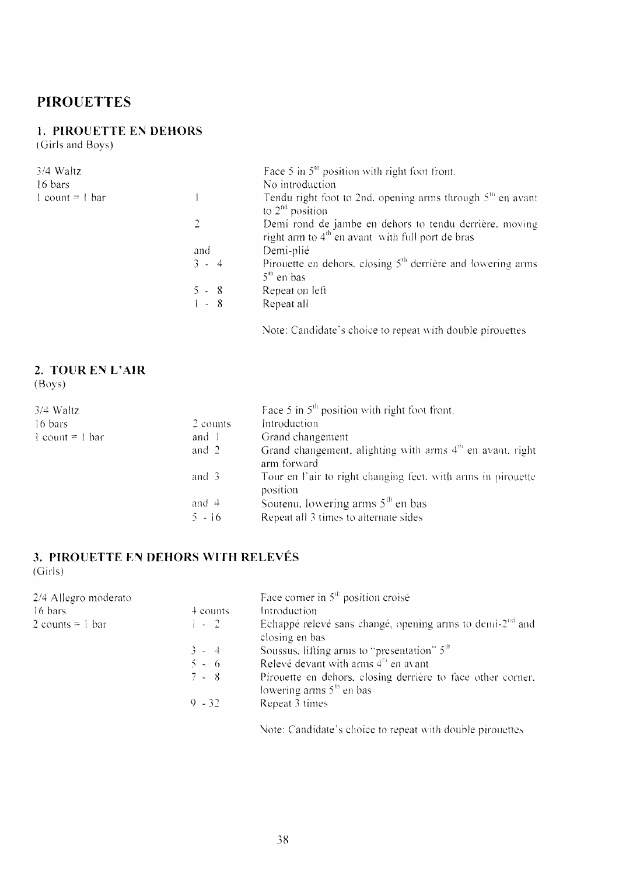#### **PIROUETTES**

#### 1. PIROUETTE EN DEHORS

(Girls and Boys)

| $3/4$ Waltz         |         | Face 5 in $5^{\text{th}}$ position with right foot front.                                                    |
|---------------------|---------|--------------------------------------------------------------------------------------------------------------|
| 16 bars             |         | No introduction                                                                                              |
| $1$ count = $1$ bar |         | Tendu right foot to 2nd, opening arms through $5th$ en avant<br>to $2^{na}$ position                         |
|                     |         | Demi rond de jambe en dehors to tendu derrière, moving<br>right aim to $4th$ en avant with full port de bras |
|                     | and     | Demi-plié                                                                                                    |
|                     | $3 - 4$ | Pirouette en dehors, closing $5th$ derrière and lowering arms<br>$5th$ en bas                                |
|                     | $5 - 8$ | Repeat on left                                                                                               |
|                     | $1 - 8$ | Repeat all                                                                                                   |

Note: Candidate's choice to repeat with double pirouettes

## 2. TOUR EN L'AIR

 $(Boys)$ 

| $3/4$ Waltz       |                    | Face 5 in $5th$ position with right foot front.                           |
|-------------------|--------------------|---------------------------------------------------------------------------|
| 16 bars           | 2 counts           | Introduction                                                              |
| $1$ count = 1 bar | and 1              | Grand changement                                                          |
|                   | and 2              | Grand changement, alighting with arms $4m$ en avant, right<br>arm forward |
|                   | and $\overline{3}$ | Tour en l'air to right changing feet, with arms in pirouette<br>position  |
|                   | and $\pm$          | Soutenu, lowering arms $5th$ en bas                                       |
|                   | $5 - 16$           | Repeat all 3 times to alternate sides                                     |

#### 3. PIROUETTE EN DEHORS WITH RELEVÉS  $(Girls)$

| 2/4 Allegro moderato |              | Face corner in $5th$ position croisé                                                      |
|----------------------|--------------|-------------------------------------------------------------------------------------------|
| 16 bars              | $\pm$ counts | Introduction                                                                              |
| 2 counts = $1$ bar   | $1 - 2$      | Echappé relevé sans changé, opening arms to demi- $2nd$ and<br>closing en bas             |
|                      | $3 - 4$      | Soussus, lifting arms to "presentation" $510$                                             |
|                      | $5 - 6$      | Relevé devant with arms 4 <sup>th</sup> en avant                                          |
|                      | $7 - 8$      | Pirouette en dehors, closing derrière to face other corner.<br>lowering arms $5th$ en bas |
|                      | $9 - 32$     | Repeat 3 times                                                                            |
|                      |              |                                                                                           |

Note: Candidate's choice to repeat with double pirouettes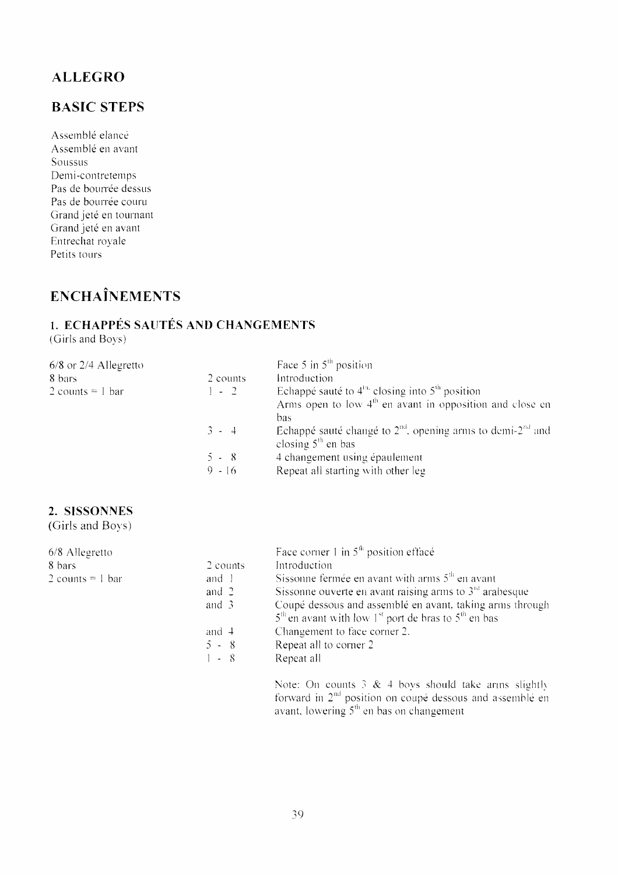### **ALLEGRO**

## **BASIC STEPS**

Assemblé elancé Assemblé en avant Soussus Demi-contretemps Pas de bourrée dessus Pas de bourrée couru Grand jeté en tournant Grand jeté en avant Entrechat royale Petits tours

# **ENCHAÎNEMENTS**

## 1. ECHAPPÉS SAUTÉS AND CHANGEMENTS

(Girls and Boys)

|          | Face 5 in $5th$ position                                               |
|----------|------------------------------------------------------------------------|
| 2 counts | Introduction                                                           |
| $1 - 2$  | Echappé sauté to $4^{\text{th}}$ closing into $5^{\text{th}}$ position |
|          | Arms open to low $4th$ en avant in opposition and close en             |
|          | bas                                                                    |
| $3 - 4$  | Echappé sauté changé to $2nd$ , opening arms to demi- $2nd$ and        |
|          | closing $5th$ en bas                                                   |
| $5 - 8$  | 4 changement using épaulement                                          |
| $9 - 16$ | Repeat all starting with other leg                                     |
|          |                                                                        |

#### 2. SISSONNES

(Girls and Boys)

| 6/8 Allegretto     |                    | Face corner 1 in $5th$ position efface                                                                                           |
|--------------------|--------------------|----------------------------------------------------------------------------------------------------------------------------------|
| 8 bars             | 2 counts           | Introduction                                                                                                                     |
| 2 counts = $1$ bar | and 1              | Sissonne fermée en avant with arms $5th$ en avant                                                                                |
|                    | and $2$            | Sissonne ouverte en avant raising arms to $3rd$ arabesque                                                                        |
|                    | and $\overline{3}$ | Coupé dessous and assemblé en avant, taking arms through<br>$5th$ en avant with low 1 <sup>st</sup> port de bras to $5th$ en bas |
|                    | and $\pm$          | Changement to face corner 2.                                                                                                     |
|                    | $5 - 8$            | Repeat all to corner 2                                                                                                           |
|                    | $1 - 8$            | Repeat all                                                                                                                       |

Note: On counts 3 & 4 boys should take arms slightly forward in  $2<sup>nd</sup>$  position on coupé dessous and assemblé en avant, lowering  $5<sup>th</sup>$  en bas on changement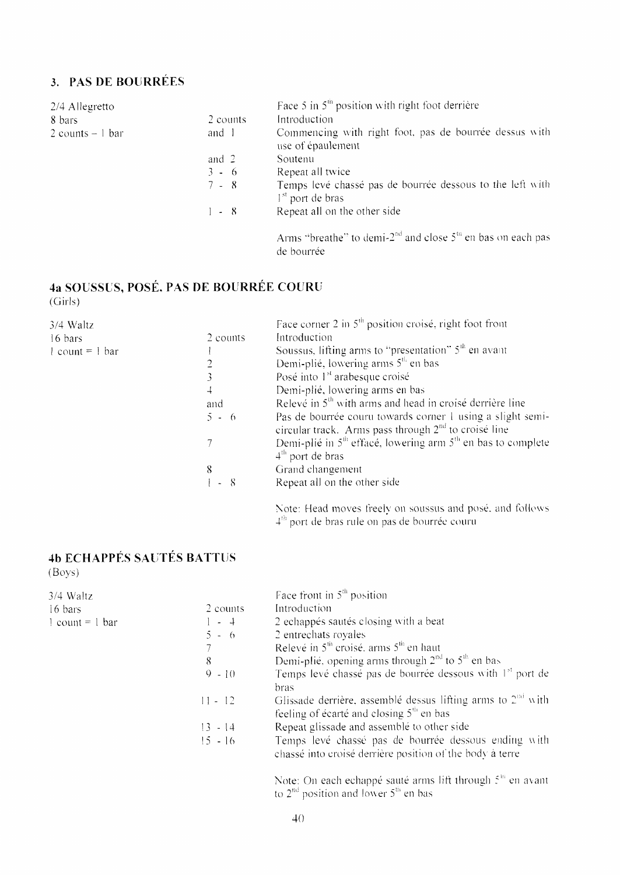## 3. PAS DE BOURRÉES

| 2/4 Allegretto      |          | Face 5 in $5th$ position with right foot derrière                               |
|---------------------|----------|---------------------------------------------------------------------------------|
| 8 bars              | 2 counts | Introduction                                                                    |
| $2$ counts $-1$ bar | and 1    | Commencing with right foot, pas de bourrée dessus with<br>use of épaulement     |
|                     | and $2$  | Soutenu                                                                         |
|                     | $3 - 6$  | Repeat all twice                                                                |
|                     | $7 - 8$  | Temps levé chassé pas de bourrée dessous to the left with<br>$1st$ port de bras |
|                     | $1 - 8$  | Repeat all on the other side                                                    |
|                     |          | Arms "breathe" to demi- $2nd$ and close $5th$ en bas on each pas                |

de bourrée

# 4a SOUSSUS, POSÉ, PAS DE BOURRÉE COURU

 $(Girls)$ 

| 3/4 Waltz         |            | Face corner 2 in $5th$ position croisé, right foot front                                                             |
|-------------------|------------|----------------------------------------------------------------------------------------------------------------------|
| 16 bars           | 2 counts   | Introduction                                                                                                         |
| $1$ count = 1 bar |            | Soussus, lifting arms to "presentation" 5 <sup>th</sup> en avant                                                     |
|                   |            | Demi-plié, lowering arms 5 <sup>th</sup> en bas                                                                      |
|                   |            | Posé into 1 <sup>st</sup> arabesque croisé                                                                           |
|                   | $\ddot{+}$ | Demi-plié, lowering arms en bas                                                                                      |
|                   | and        | Relevé in 5 <sup>th</sup> with arms and head in croisé derrière line                                                 |
|                   | $5 - 6$    | Pas de bourrée couru towards corner 1 using a slight semi-<br>circular track. Arms pass through $2nd$ to croisé line |
|                   |            | Demi-plié in $5th$ effacé, lowering arm $5th$ en bas to complete<br>$4th$ port de bras                               |
|                   | 8          | Grand changement                                                                                                     |
|                   | $1 - 8$    | Repeat all on the other side                                                                                         |
|                   |            | Note: Head moves freely on soussus and posé, and follows<br>$4^{\rm m}$ port de bras rule on pas de bourrée couru    |

# **4b ECHAPPÉS SAUTÉS BATTUS**

 $(Boys)$ 

| $3/4$ Waltz                             |           | Face front in $5th$ position                                          |
|-----------------------------------------|-----------|-----------------------------------------------------------------------|
| 16 bars                                 | 2 counts  | Introduction                                                          |
| $\frac{1}{2}$ count = $\frac{1}{2}$ bar | $-4$      | 2 echappés sautés closing with a beat                                 |
|                                         | $5 - 6$   | 2 entrechats royales                                                  |
|                                         |           | Relevé in $5th$ croisé, arms $5th$ en haut                            |
|                                         | 8         | Demi-plié, opening arms through $2nd$ to $5th$ en bas                 |
|                                         | $9 - 10$  | Temps levé chassé pas de bourrée dessous with 1 <sup>st</sup> port de |
|                                         |           | bras                                                                  |
|                                         | $11 - 12$ | Glissade derrière, assemblé dessus lifting arms to $2nd$ with         |
|                                         |           | feeling of écarté and closing $5th$ en bas                            |
|                                         | $13 - 14$ | Repeat glissade and assemblé to other side                            |
|                                         | $15 - 16$ | Temps levé chassé pas de bourrée dessous ending with                  |
|                                         |           | chassé into croisé derrière position of the body à terre              |
|                                         |           | Nata: Ou goob oopango cauté arme lift through 5th on quant            |

Note: On each echappé sauté arms lift through  $z^{\text{m}}$  en avant to  $2^{\text{nd}}$  position and lower  $5^{\text{th}}$  en bas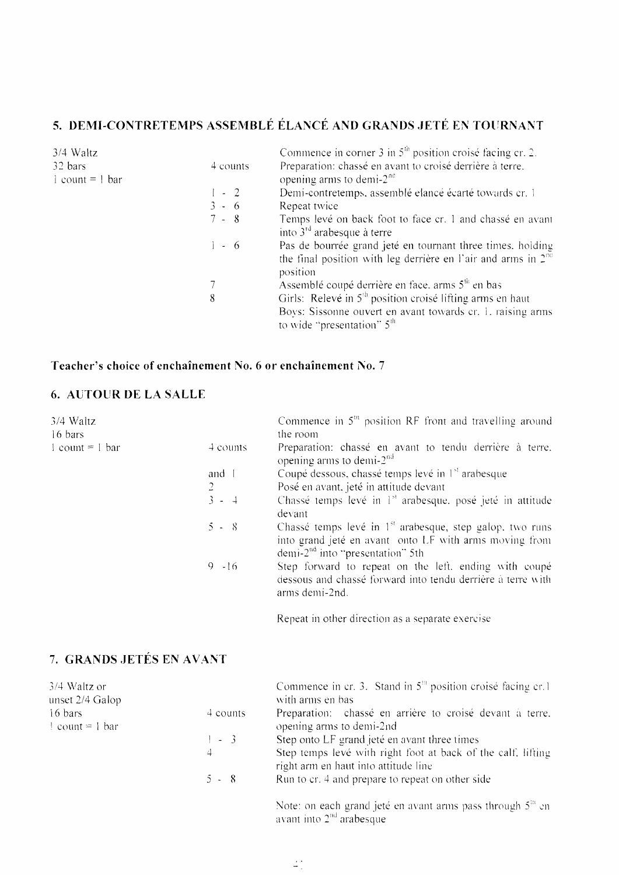## 5. DEMI-CONTRETEMPS ASSEMBLÉ ÉLANCÉ AND GRANDS JETÉ EN TOURNANT

| $3/4$ Waltz         |          | Commence in corner 3 in $5th$ position croisé facing cr. 2.                                                                                                         |
|---------------------|----------|---------------------------------------------------------------------------------------------------------------------------------------------------------------------|
| 32 bars             | 4 counts | Preparation: chassé en avant to croisé derrière à terre.                                                                                                            |
| $1$ count = $1$ bar |          | opening arms to demi- $2nc$                                                                                                                                         |
|                     | $1 - 2$  | Demi-contretemps, assemblé elancé écarté towards cr. 1                                                                                                              |
|                     | $3 - 6$  | Repeat twice                                                                                                                                                        |
|                     | $7 - 8$  | Temps levé on back foot to face cr. 1 and chassé en avant<br>into $3rd$ arabesque à terre                                                                           |
|                     | $1 - 6$  | Pas de bourrée grand jeté en tournant three times, holding<br>the final position with leg derrière en l'air and arms in $2^{n\alpha}$<br>position                   |
|                     |          | Assemblé coupé derrière en face, arms 5 <sup>th</sup> en bas                                                                                                        |
|                     | 8        | Girls: Relevé in 5 <sup>th</sup> position croisé lifting arms en haut<br>Boys: Sissonne ouvert en avant towards cr. 1. raising arms<br>to wide "presentation" $5th$ |

#### Teacher's choice of enchaînement No. 6 or enchaînement No. 7

#### **6. AUTOUR DE LA SALLE**

| 3/4 Waltz<br>16 bars              |                | Commence in $5th$ position RF front and travelling around<br>the room                                                                                                          |  |  |
|-----------------------------------|----------------|--------------------------------------------------------------------------------------------------------------------------------------------------------------------------------|--|--|
| $1$ count = 1 bar                 | 4 counts       | Preparation: chassé en avant to tendu derrière à terre.<br>opening arms to demi- $2nd$                                                                                         |  |  |
|                                   | and 1          | Coupé dessous, chassé temps levé in 1 <sup>st</sup> arabesque                                                                                                                  |  |  |
|                                   | $\overline{2}$ | Posé en avant, jeté in attitude devant                                                                                                                                         |  |  |
|                                   | $3 - 4$        | Chassé temps levé in 1 <sup>st</sup> arabesque, posé jeté in attitude<br>devant                                                                                                |  |  |
|                                   | $5 - 8$        | Chassé temps levé in 1 <sup>st</sup> arabesque, step galop, two runs<br>into grand jeté en avant onto LF with arms moving from<br>demi-2 <sup>nd</sup> into "presentation" 5th |  |  |
|                                   | $9 - 16$       | Step forward to repeat on the left, ending with coupé<br>dessous and chassé forward into tendu derrière à terre with<br>arms demi-2nd.                                         |  |  |
|                                   |                | Repeat in other direction as a separate exercise                                                                                                                               |  |  |
| 7. GRANDS JETÉS EN AVANT          |                |                                                                                                                                                                                |  |  |
| 3/4 Waltz or<br>unset 2/4 Galop   |                | Commence in cr. 3. Stand in $5th$ position croisé facing cr. 1<br>with arms en bas                                                                                             |  |  |
| 16 bars<br>$\equiv$ count = 1 bar | 4 counts       | Preparation: chassé en arrière to croisé devant à terre.<br>opening arms to demi-2nd                                                                                           |  |  |
|                                   | $1 - 3$        | Step onto LF grand jeté en avant three times                                                                                                                                   |  |  |
|                                   | 4              | Step temps levé with right foot at back of the calf. lifting<br>right arm en haut into attitude line                                                                           |  |  |
|                                   | $5 - 8$        | Run to cr. 4 and prepare to repeat on other side                                                                                                                               |  |  |

Note: on each grand jeté en avant arms pass through  $5^{\text{m}}$  en avant into  $2^{\text{nd}}$  arabesque